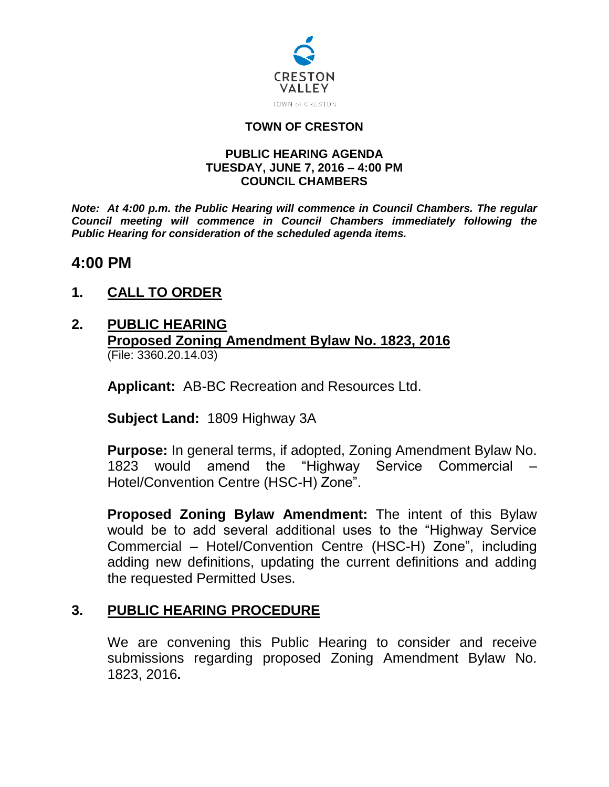

#### **TOWN OF CRESTON**

#### **PUBLIC HEARING AGENDA TUESDAY, JUNE 7, 2016 – 4:00 PM COUNCIL CHAMBERS**

*Note: At 4:00 p.m. the Public Hearing will commence in Council Chambers. The regular Council meeting will commence in Council Chambers immediately following the Public Hearing for consideration of the scheduled agenda items.*

# **4:00 PM**

# **1. CALL TO ORDER**

#### **2. PUBLIC HEARING Proposed Zoning Amendment Bylaw No. 1823, 2016** (File: 3360.20.14.03)

**Applicant:** AB-BC Recreation and Resources Ltd.

**Subject Land:** 1809 Highway 3A

**Purpose:** In general terms, if adopted, Zoning Amendment Bylaw No. 1823 would amend the "Highway Service Commercial – Hotel/Convention Centre (HSC-H) Zone".

**Proposed Zoning Bylaw Amendment:** The intent of this Bylaw would be to add several additional uses to the "Highway Service Commercial – Hotel/Convention Centre (HSC-H) Zone", including adding new definitions, updating the current definitions and adding the requested Permitted Uses.

### **3. PUBLIC HEARING PROCEDURE**

We are convening this Public Hearing to consider and receive submissions regarding proposed Zoning Amendment Bylaw No. 1823, 2016**.**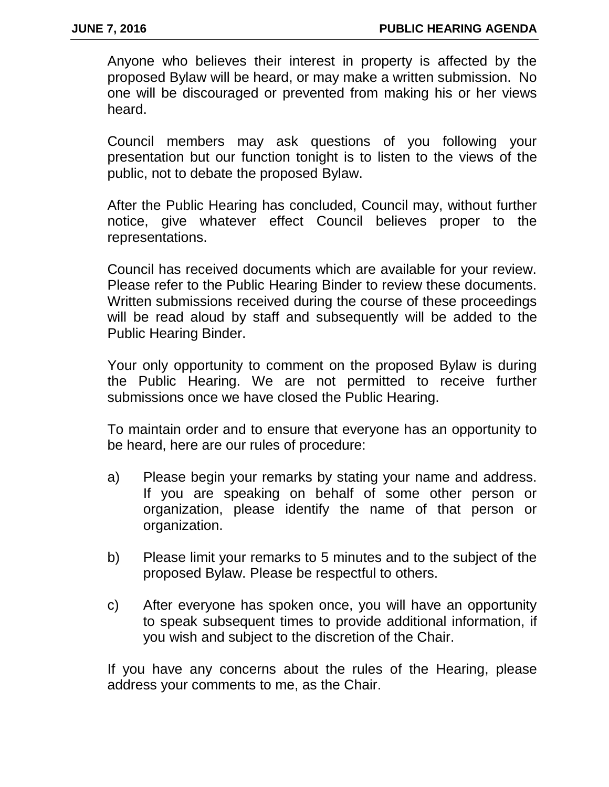Anyone who believes their interest in property is affected by the proposed Bylaw will be heard, or may make a written submission. No one will be discouraged or prevented from making his or her views heard.

Council members may ask questions of you following your presentation but our function tonight is to listen to the views of the public, not to debate the proposed Bylaw.

After the Public Hearing has concluded, Council may, without further notice, give whatever effect Council believes proper to the representations.

Council has received documents which are available for your review. Please refer to the Public Hearing Binder to review these documents. Written submissions received during the course of these proceedings will be read aloud by staff and subsequently will be added to the Public Hearing Binder.

Your only opportunity to comment on the proposed Bylaw is during the Public Hearing. We are not permitted to receive further submissions once we have closed the Public Hearing.

To maintain order and to ensure that everyone has an opportunity to be heard, here are our rules of procedure:

- a) Please begin your remarks by stating your name and address. If you are speaking on behalf of some other person or organization, please identify the name of that person or organization.
- b) Please limit your remarks to 5 minutes and to the subject of the proposed Bylaw. Please be respectful to others.
- c) After everyone has spoken once, you will have an opportunity to speak subsequent times to provide additional information, if you wish and subject to the discretion of the Chair.

If you have any concerns about the rules of the Hearing, please address your comments to me, as the Chair.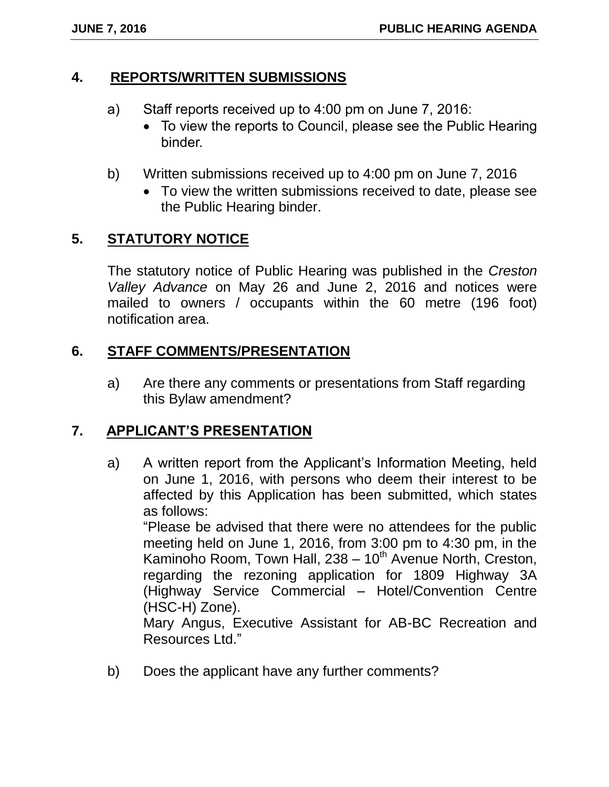#### **4. REPORTS/WRITTEN SUBMISSIONS**

- a) Staff reports received up to 4:00 pm on June 7, 2016:
	- To view the reports to Council, please see the Public Hearing binder.
- b) Written submissions received up to 4:00 pm on June 7, 2016
	- To view the written submissions received to date, please see the Public Hearing binder.

# **5. STATUTORY NOTICE**

The statutory notice of Public Hearing was published in the *Creston Valley Advance* on May 26 and June 2, 2016 and notices were mailed to owners / occupants within the 60 metre (196 foot) notification area.

# **6. STAFF COMMENTS/PRESENTATION**

a) Are there any comments or presentations from Staff regarding this Bylaw amendment?

### **7. APPLICANT'S PRESENTATION**

a) A written report from the Applicant's Information Meeting, held on June 1, 2016, with persons who deem their interest to be affected by this Application has been submitted, which states as follows:

"Please be advised that there were no attendees for the public meeting held on June 1, 2016, from 3:00 pm to 4:30 pm, in the Kaminoho Room, Town Hall,  $238 - 10^{th}$  Avenue North, Creston, regarding the rezoning application for 1809 Highway 3A (Highway Service Commercial – Hotel/Convention Centre (HSC-H) Zone).

Mary Angus, Executive Assistant for AB-BC Recreation and Resources Ltd."

b) Does the applicant have any further comments?